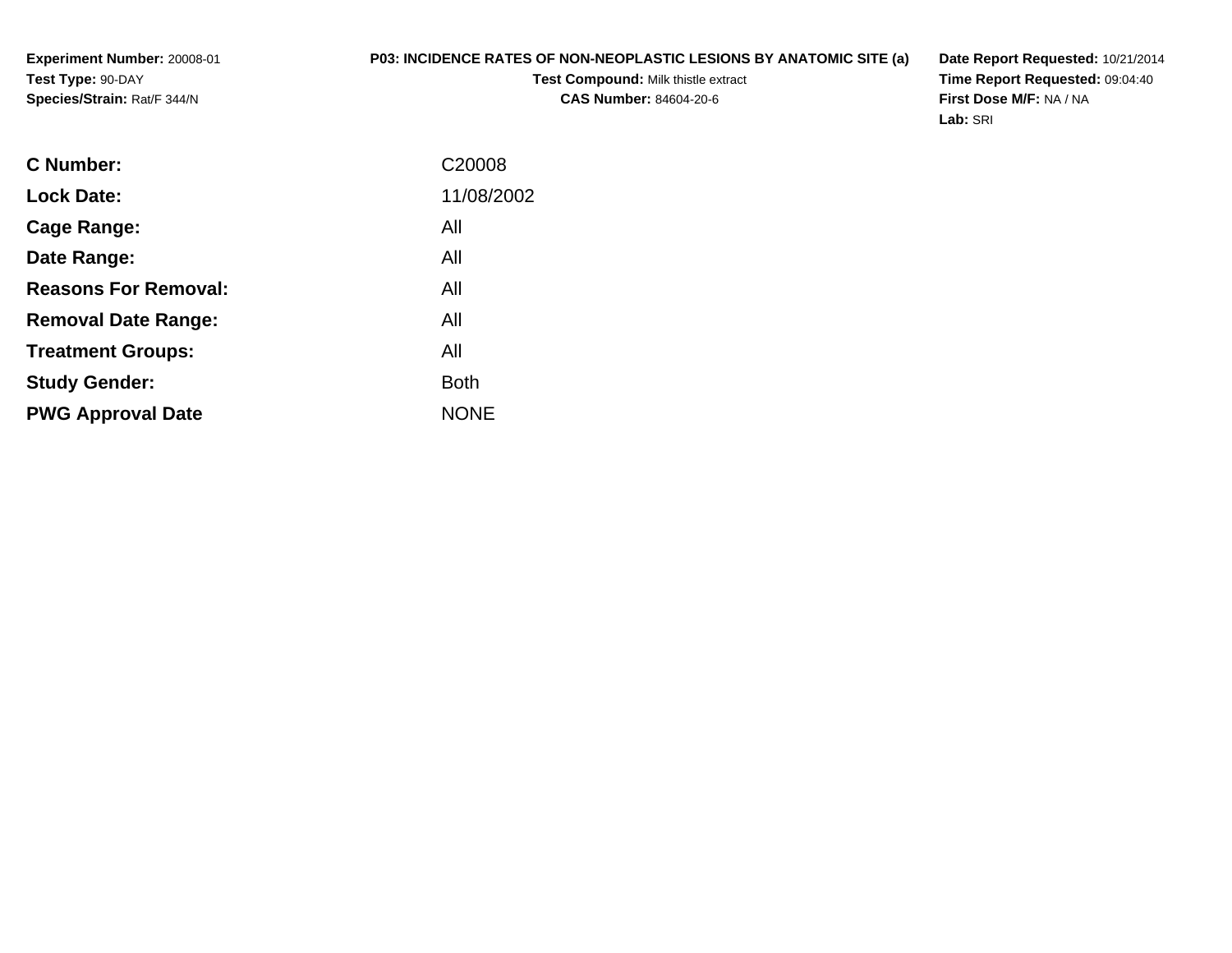**Experiment Number:** 20008-01**Test Type:** 90-DAY**Species/Strain:** Rat/F 344/N

## **P03: INCIDENCE RATES OF NON-NEOPLASTIC LESIONS BY ANATOMIC SITE (a)**

**Test Compound:** Milk thistle extract**CAS Number:** 84604-20-6

**Date Report Requested:** 10/21/2014 **Time Report Requested:** 09:04:40**First Dose M/F:** NA / NA**Lab:** SRI

| <b>Lock Date:</b><br>All<br>Cage Range:<br>All<br>Date Range:<br><b>Reasons For Removal:</b><br>All<br>All<br><b>Removal Date Range:</b><br>All<br><b>Treatment Groups:</b><br><b>Both</b><br><b>Study Gender:</b><br><b>NONE</b><br><b>PWG Approval Date</b> | <b>C</b> Number: | C <sub>20008</sub> |
|---------------------------------------------------------------------------------------------------------------------------------------------------------------------------------------------------------------------------------------------------------------|------------------|--------------------|
|                                                                                                                                                                                                                                                               |                  | 11/08/2002         |
|                                                                                                                                                                                                                                                               |                  |                    |
|                                                                                                                                                                                                                                                               |                  |                    |
|                                                                                                                                                                                                                                                               |                  |                    |
|                                                                                                                                                                                                                                                               |                  |                    |
|                                                                                                                                                                                                                                                               |                  |                    |
|                                                                                                                                                                                                                                                               |                  |                    |
|                                                                                                                                                                                                                                                               |                  |                    |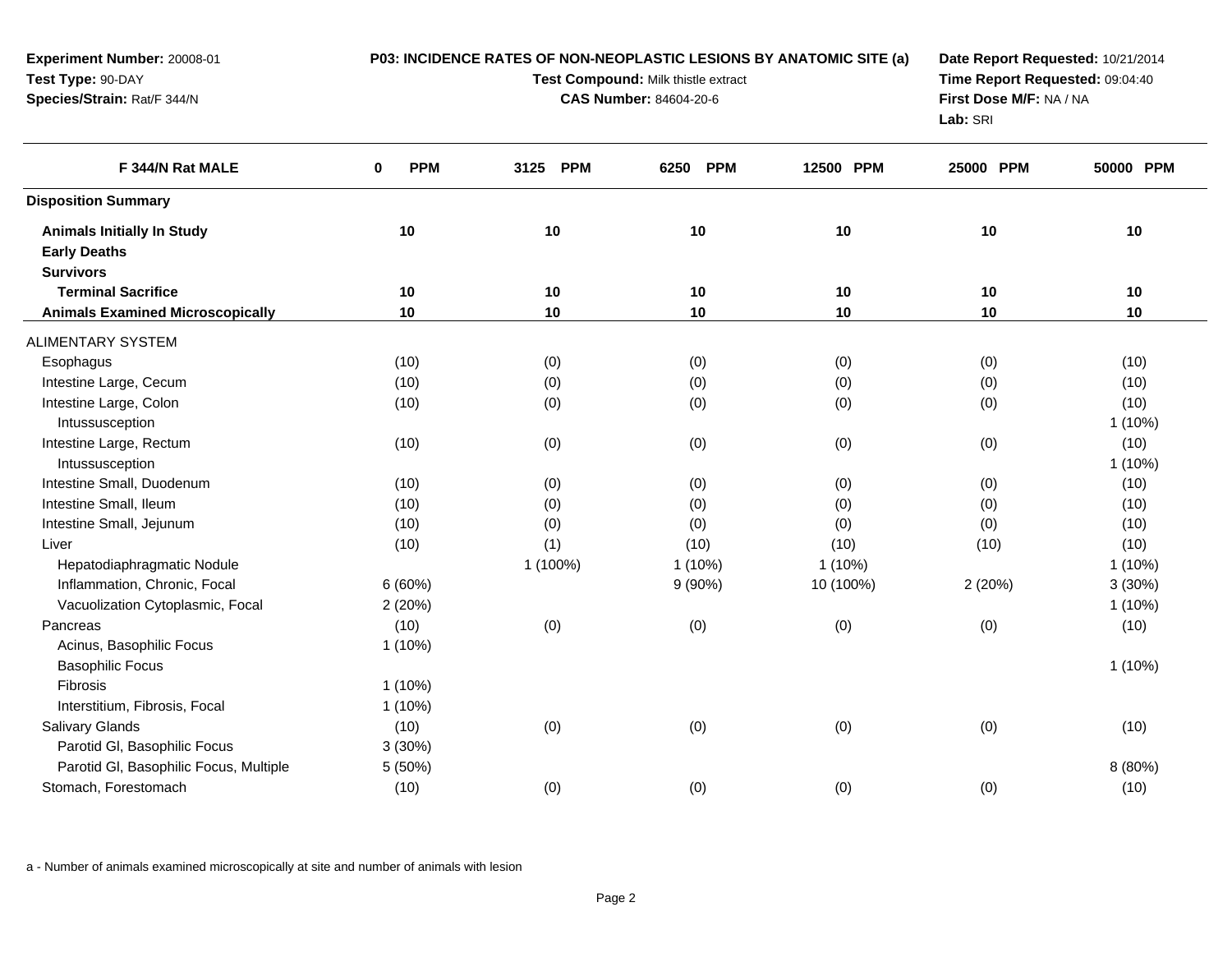| Experiment Number: 20008-01<br>Test Type: 90-DAY<br>Species/Strain: Rat/F 344/N |                        | P03: INCIDENCE RATES OF NON-NEOPLASTIC LESIONS BY ANATOMIC SITE (a)<br>Test Compound: Milk thistle extract<br><b>CAS Number: 84604-20-6</b> | Date Report Requested: 10/21/2014<br>Time Report Requested: 09:04:40<br>First Dose M/F: NA / NA<br>Lab: SRI |           |           |           |
|---------------------------------------------------------------------------------|------------------------|---------------------------------------------------------------------------------------------------------------------------------------------|-------------------------------------------------------------------------------------------------------------|-----------|-----------|-----------|
| F 344/N Rat MALE                                                                | $\bf{0}$<br><b>PPM</b> | 3125 PPM                                                                                                                                    | <b>PPM</b><br>6250                                                                                          | 12500 PPM | 25000 PPM | 50000 PPM |
| <b>Disposition Summary</b>                                                      |                        |                                                                                                                                             |                                                                                                             |           |           |           |
| <b>Animals Initially In Study</b>                                               | 10                     | 10                                                                                                                                          | 10                                                                                                          | 10        | 10        | 10        |
| <b>Early Deaths</b><br><b>Survivors</b>                                         |                        |                                                                                                                                             |                                                                                                             |           |           |           |
| <b>Terminal Sacrifice</b>                                                       | 10                     | 10                                                                                                                                          | 10                                                                                                          | 10        | 10        | 10        |
| <b>Animals Examined Microscopically</b>                                         | 10                     | 10                                                                                                                                          | 10                                                                                                          | 10        | 10        | 10        |
|                                                                                 |                        |                                                                                                                                             |                                                                                                             |           |           |           |
| <b>ALIMENTARY SYSTEM</b>                                                        |                        |                                                                                                                                             |                                                                                                             |           |           |           |
| Esophagus                                                                       | (10)                   | (0)                                                                                                                                         | (0)                                                                                                         | (0)       | (0)       | (10)      |
| Intestine Large, Cecum                                                          | (10)                   | (0)                                                                                                                                         | (0)                                                                                                         | (0)       | (0)       | (10)      |
| Intestine Large, Colon                                                          | (10)                   | (0)                                                                                                                                         | (0)                                                                                                         | (0)       | (0)       | (10)      |
| Intussusception                                                                 |                        |                                                                                                                                             |                                                                                                             |           |           | $1(10\%)$ |
| Intestine Large, Rectum                                                         | (10)                   | (0)                                                                                                                                         | (0)                                                                                                         | (0)       | (0)       | (10)      |
| Intussusception                                                                 |                        |                                                                                                                                             |                                                                                                             |           |           | $1(10\%)$ |
| Intestine Small, Duodenum                                                       | (10)                   | (0)                                                                                                                                         | (0)                                                                                                         | (0)       | (0)       | (10)      |
| Intestine Small, Ileum                                                          | (10)                   | (0)                                                                                                                                         | (0)                                                                                                         | (0)       | (0)       | (10)      |
| Intestine Small, Jejunum                                                        | (10)                   | (0)                                                                                                                                         | (0)                                                                                                         | (0)       | (0)       | (10)      |
| Liver                                                                           | (10)                   | (1)                                                                                                                                         | (10)                                                                                                        | (10)      | (10)      | (10)      |
| Hepatodiaphragmatic Nodule                                                      |                        | 1 (100%)                                                                                                                                    | $1(10\%)$                                                                                                   | $1(10\%)$ |           | $1(10\%)$ |
| Inflammation, Chronic, Focal                                                    | 6(60%)                 |                                                                                                                                             | 9(90%)                                                                                                      | 10 (100%) | 2(20%)    | 3(30%)    |
| Vacuolization Cytoplasmic, Focal                                                | 2 (20%)                |                                                                                                                                             |                                                                                                             |           |           | $1(10\%)$ |
| Pancreas                                                                        | (10)                   | (0)                                                                                                                                         | (0)                                                                                                         | (0)       | (0)       | (10)      |
| Acinus, Basophilic Focus                                                        | $1(10\%)$              |                                                                                                                                             |                                                                                                             |           |           |           |
| <b>Basophilic Focus</b>                                                         |                        |                                                                                                                                             |                                                                                                             |           |           | $1(10\%)$ |
| Fibrosis                                                                        | $1(10\%)$              |                                                                                                                                             |                                                                                                             |           |           |           |
| Interstitium, Fibrosis, Focal                                                   | $1(10\%)$              |                                                                                                                                             |                                                                                                             |           |           |           |
| <b>Salivary Glands</b>                                                          | (10)                   | (0)                                                                                                                                         | (0)                                                                                                         | (0)       | (0)       | (10)      |
| Parotid GI, Basophilic Focus                                                    | 3(30%)                 |                                                                                                                                             |                                                                                                             |           |           |           |
| Parotid GI, Basophilic Focus, Multiple                                          | 5 (50%)                |                                                                                                                                             |                                                                                                             |           |           | 8 (80%)   |
| Stomach, Forestomach                                                            | (10)                   | (0)                                                                                                                                         | (0)                                                                                                         | (0)       | (0)       | (10)      |
|                                                                                 |                        |                                                                                                                                             |                                                                                                             |           |           |           |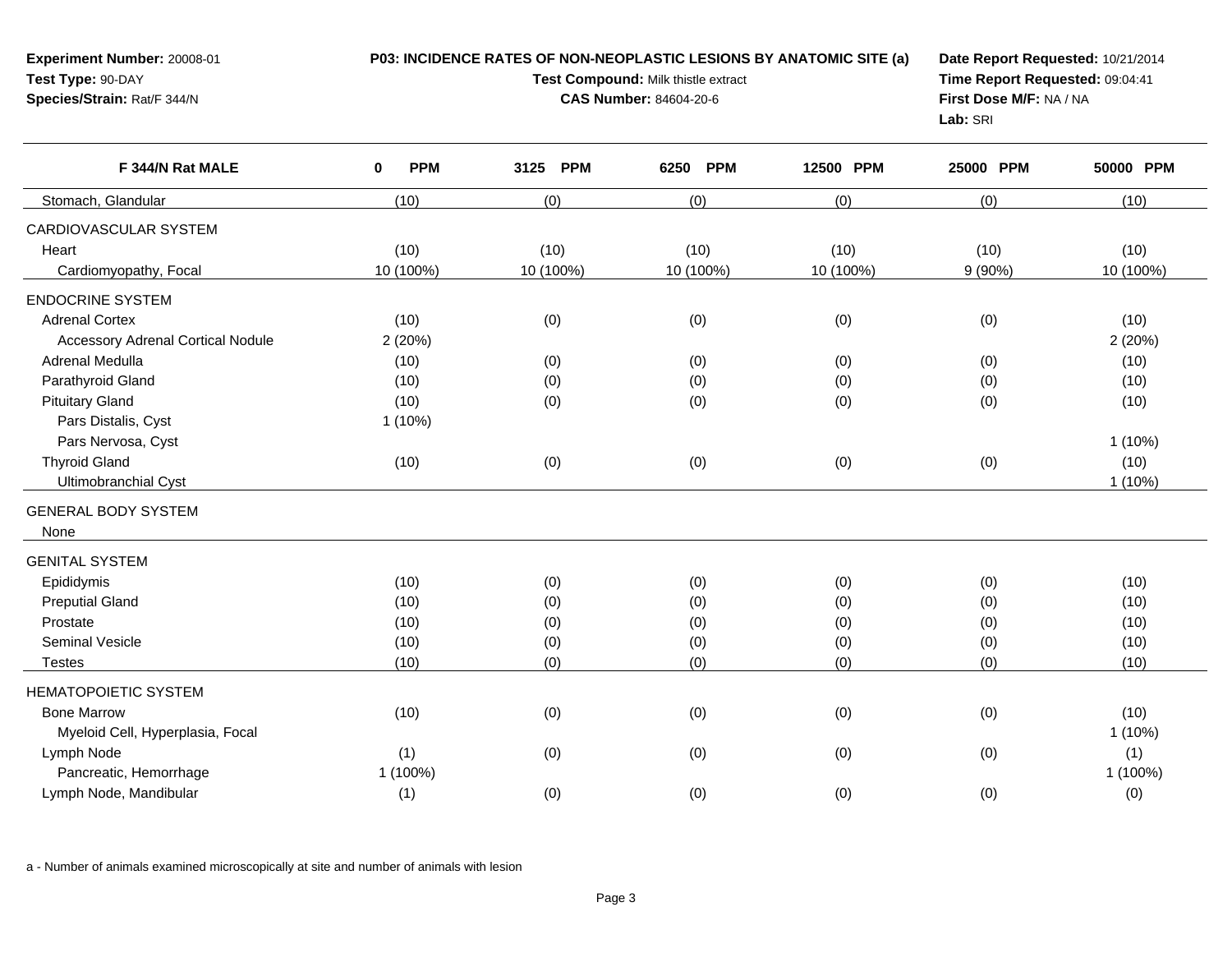| Test Type: 90-DAY<br>Species/Strain: Rat/F 344/N |                           | Test Compound: Milk thistle extract<br><b>CAS Number: 84604-20-6</b> | Time Report Requested: 09:04:41<br>First Dose M/F: NA / NA<br>Lab: SRI |           |           |           |
|--------------------------------------------------|---------------------------|----------------------------------------------------------------------|------------------------------------------------------------------------|-----------|-----------|-----------|
| F 344/N Rat MALE                                 | <b>PPM</b><br>$\mathbf 0$ | 3125 PPM                                                             | 6250 PPM                                                               | 12500 PPM | 25000 PPM | 50000 PPM |
| Stomach, Glandular                               | (10)                      | (0)                                                                  | (0)                                                                    | (0)       | (0)       | (10)      |
| CARDIOVASCULAR SYSTEM                            |                           |                                                                      |                                                                        |           |           |           |
| Heart                                            | (10)                      | (10)                                                                 | (10)                                                                   | (10)      | (10)      | (10)      |
| Cardiomyopathy, Focal                            | 10 (100%)                 | 10 (100%)                                                            | 10 (100%)                                                              | 10 (100%) | 9(90%)    | 10 (100%) |
| <b>ENDOCRINE SYSTEM</b>                          |                           |                                                                      |                                                                        |           |           |           |
| <b>Adrenal Cortex</b>                            | (10)                      | (0)                                                                  | (0)                                                                    | (0)       | (0)       | (10)      |
| <b>Accessory Adrenal Cortical Nodule</b>         | 2(20%)                    |                                                                      |                                                                        |           |           | 2(20%)    |
| Adrenal Medulla                                  | (10)                      | (0)                                                                  | (0)                                                                    | (0)       | (0)       | (10)      |
| Parathyroid Gland                                | (10)                      | (0)                                                                  | (0)                                                                    | (0)       | (0)       | (10)      |
| <b>Pituitary Gland</b>                           | (10)                      | (0)                                                                  | (0)                                                                    | (0)       | (0)       | (10)      |
| Pars Distalis, Cyst                              | $1(10\%)$                 |                                                                      |                                                                        |           |           |           |
| Pars Nervosa, Cyst                               |                           |                                                                      |                                                                        |           |           | 1(10%)    |
| <b>Thyroid Gland</b>                             | (10)                      | (0)                                                                  | (0)                                                                    | (0)       | (0)       | (10)      |
| <b>Ultimobranchial Cyst</b>                      |                           |                                                                      |                                                                        |           |           | 1 (10%)   |
| <b>GENERAL BODY SYSTEM</b>                       |                           |                                                                      |                                                                        |           |           |           |
| None                                             |                           |                                                                      |                                                                        |           |           |           |
| <b>GENITAL SYSTEM</b>                            |                           |                                                                      |                                                                        |           |           |           |
| Epididymis                                       | (10)                      | (0)                                                                  | (0)                                                                    | (0)       | (0)       | (10)      |
| <b>Preputial Gland</b>                           | (10)                      | (0)                                                                  | (0)                                                                    | (0)       | (0)       | (10)      |
| Prostate                                         | (10)                      | (0)                                                                  | (0)                                                                    | (0)       | (0)       | (10)      |
| Seminal Vesicle                                  | (10)                      | (0)                                                                  | (0)                                                                    | (0)       | (0)       | (10)      |
| <b>Testes</b>                                    | (10)                      | (0)                                                                  | (0)                                                                    | (0)       | (0)       | (10)      |
| <b>HEMATOPOIETIC SYSTEM</b>                      |                           |                                                                      |                                                                        |           |           |           |
| <b>Bone Marrow</b>                               | (10)                      | (0)                                                                  | (0)                                                                    | (0)       | (0)       | (10)      |
| Myeloid Cell, Hyperplasia, Focal                 |                           |                                                                      |                                                                        |           |           | $1(10\%)$ |
| Lymph Node                                       | (1)                       | (0)                                                                  | (0)                                                                    | (0)       | (0)       | (1)       |
| Pancreatic, Hemorrhage                           | 1 (100%)                  |                                                                      |                                                                        |           |           | 1 (100%)  |
| Lymph Node, Mandibular                           | (1)                       | (0)                                                                  | (0)                                                                    | (0)       | (0)       | (0)       |
|                                                  |                           |                                                                      |                                                                        |           |           |           |

**P03: INCIDENCE RATES OF NON-NEOPLASTIC LESIONS BY ANATOMIC SITE (a)**

**Date Report Requested:** 10/21/2014

a - Number of animals examined microscopically at site and number of animals with lesion

**Experiment Number:** 20008-01

 $\overline{a}$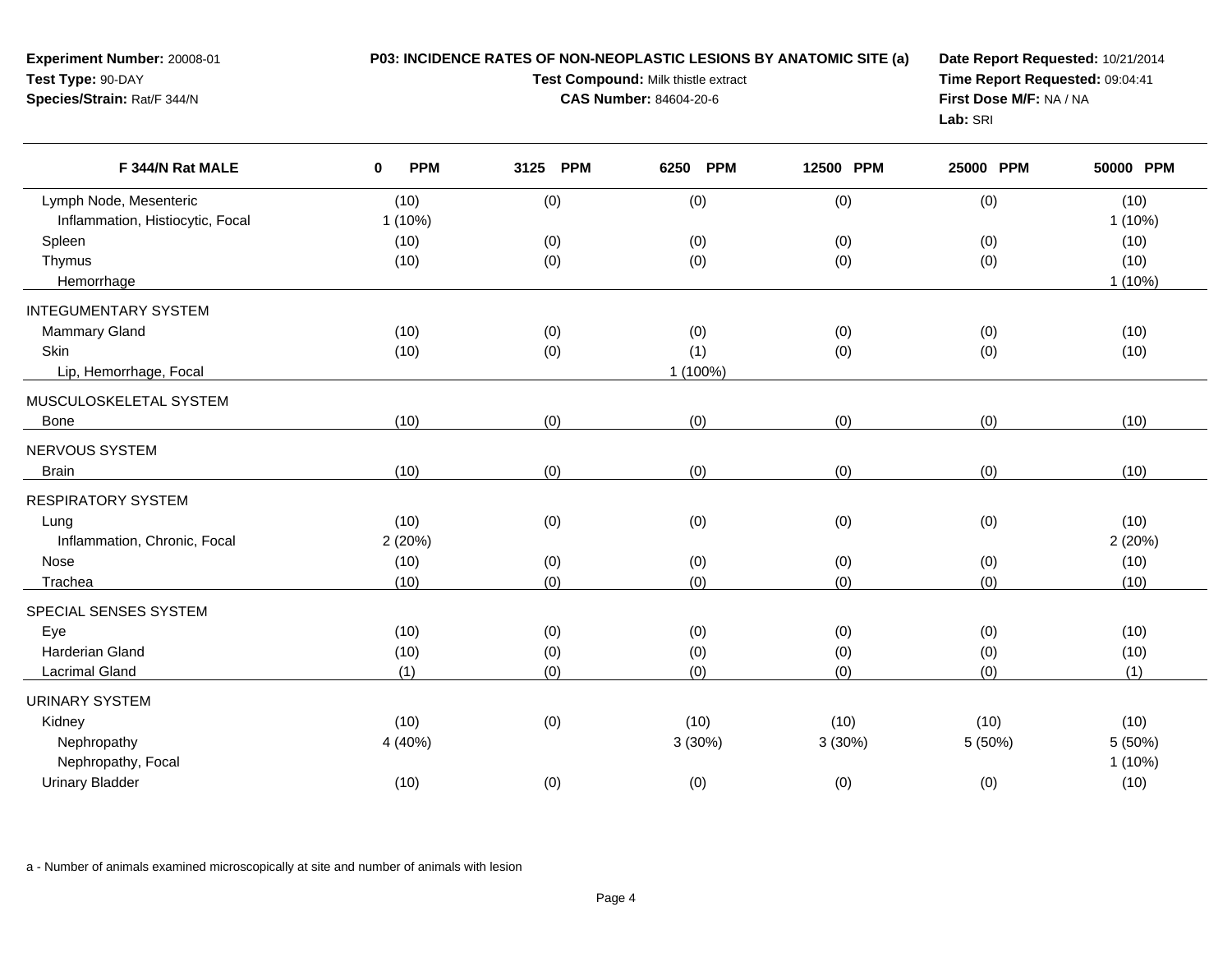| <b>Experiment Number: 20008-01</b><br>Test Type: 90-DAY<br>Species/Strain: Rat/F 344/N | P03: INCIDENCE RATES OF NON-NEOPLASTIC LESIONS BY ANATOMIC SITE (a)<br>Test Compound: Milk thistle extract<br><b>CAS Number: 84604-20-6</b> |      |     |      | Date Report Requested: 10/21/2014<br>Time Report Requested: 09:04:41<br>First Dose M/F: NA / NA<br>Lab: SRI |           |           |           |
|----------------------------------------------------------------------------------------|---------------------------------------------------------------------------------------------------------------------------------------------|------|-----|------|-------------------------------------------------------------------------------------------------------------|-----------|-----------|-----------|
| F 344/N Rat MALE                                                                       | <b>PPM</b>                                                                                                                                  | 3125 | PPM | 6250 | <b>PPM</b>                                                                                                  | 12500 PPM | 25000 PPM | 50000 PPM |

| (0)<br>(0)<br>(0)<br>(0)<br>Lymph Node, Mesenteric<br>(10)<br>Inflammation, Histiocytic, Focal<br>1(10%)<br>(0)<br>Spleen<br>(10)<br>(0)<br>(0)<br>(0)<br>Thymus<br>(10)<br>(0)<br>(0)<br>(0)<br>(0)<br>Hemorrhage<br><b>INTEGUMENTARY SYSTEM</b><br><b>Mammary Gland</b><br>(0)<br>(0)<br>(0)<br>(10)<br>(0)<br>Skin<br>(1)<br>(10)<br>(0)<br>(0)<br>(0)<br>Lip, Hemorrhage, Focal<br>1 (100%)<br>MUSCULOSKELETAL SYSTEM<br>(10)<br>(0)<br>(0)<br>(0)<br>(0)<br>Bone<br>NERVOUS SYSTEM<br>(0)<br>(0)<br>(0)<br>(0)<br>(10)<br><b>Brain</b><br><b>RESPIRATORY SYSTEM</b><br>(0)<br>(0)<br>(0)<br>(0)<br>(10)<br>Lung<br>Inflammation, Chronic, Focal<br>2(20%)<br>(0)<br>Nose<br>(10)<br>(0)<br>(0)<br>(0)<br>(10)<br>(0)<br>(0)<br>(0)<br>(0)<br>Trachea<br>SPECIAL SENSES SYSTEM<br>(0)<br>(0)<br>(0)<br>Eye<br>(10)<br>(0)<br><b>Harderian Gland</b><br>(0)<br>(0)<br>(0)<br>(10)<br>(0)<br>(1)<br>(0)<br>Lacrimal Gland<br>(0)<br>(0)<br>(0)<br><b>URINARY SYSTEM</b><br>(10)<br>(0)<br>(10)<br>(10)<br>(10)<br>Kidney<br>Nephropathy<br>4 (40%)<br>3(30%)<br>3(30%)<br>5(50%)<br>Nephropathy, Focal |
|----------------------------------------------------------------------------------------------------------------------------------------------------------------------------------------------------------------------------------------------------------------------------------------------------------------------------------------------------------------------------------------------------------------------------------------------------------------------------------------------------------------------------------------------------------------------------------------------------------------------------------------------------------------------------------------------------------------------------------------------------------------------------------------------------------------------------------------------------------------------------------------------------------------------------------------------------------------------------------------------------------------------------------------------------------------------------------------------------------|
|                                                                                                                                                                                                                                                                                                                                                                                                                                                                                                                                                                                                                                                                                                                                                                                                                                                                                                                                                                                                                                                                                                          |
|                                                                                                                                                                                                                                                                                                                                                                                                                                                                                                                                                                                                                                                                                                                                                                                                                                                                                                                                                                                                                                                                                                          |
|                                                                                                                                                                                                                                                                                                                                                                                                                                                                                                                                                                                                                                                                                                                                                                                                                                                                                                                                                                                                                                                                                                          |
|                                                                                                                                                                                                                                                                                                                                                                                                                                                                                                                                                                                                                                                                                                                                                                                                                                                                                                                                                                                                                                                                                                          |
|                                                                                                                                                                                                                                                                                                                                                                                                                                                                                                                                                                                                                                                                                                                                                                                                                                                                                                                                                                                                                                                                                                          |
|                                                                                                                                                                                                                                                                                                                                                                                                                                                                                                                                                                                                                                                                                                                                                                                                                                                                                                                                                                                                                                                                                                          |
|                                                                                                                                                                                                                                                                                                                                                                                                                                                                                                                                                                                                                                                                                                                                                                                                                                                                                                                                                                                                                                                                                                          |
|                                                                                                                                                                                                                                                                                                                                                                                                                                                                                                                                                                                                                                                                                                                                                                                                                                                                                                                                                                                                                                                                                                          |
|                                                                                                                                                                                                                                                                                                                                                                                                                                                                                                                                                                                                                                                                                                                                                                                                                                                                                                                                                                                                                                                                                                          |
|                                                                                                                                                                                                                                                                                                                                                                                                                                                                                                                                                                                                                                                                                                                                                                                                                                                                                                                                                                                                                                                                                                          |
|                                                                                                                                                                                                                                                                                                                                                                                                                                                                                                                                                                                                                                                                                                                                                                                                                                                                                                                                                                                                                                                                                                          |
|                                                                                                                                                                                                                                                                                                                                                                                                                                                                                                                                                                                                                                                                                                                                                                                                                                                                                                                                                                                                                                                                                                          |
|                                                                                                                                                                                                                                                                                                                                                                                                                                                                                                                                                                                                                                                                                                                                                                                                                                                                                                                                                                                                                                                                                                          |
|                                                                                                                                                                                                                                                                                                                                                                                                                                                                                                                                                                                                                                                                                                                                                                                                                                                                                                                                                                                                                                                                                                          |
|                                                                                                                                                                                                                                                                                                                                                                                                                                                                                                                                                                                                                                                                                                                                                                                                                                                                                                                                                                                                                                                                                                          |
|                                                                                                                                                                                                                                                                                                                                                                                                                                                                                                                                                                                                                                                                                                                                                                                                                                                                                                                                                                                                                                                                                                          |
|                                                                                                                                                                                                                                                                                                                                                                                                                                                                                                                                                                                                                                                                                                                                                                                                                                                                                                                                                                                                                                                                                                          |
|                                                                                                                                                                                                                                                                                                                                                                                                                                                                                                                                                                                                                                                                                                                                                                                                                                                                                                                                                                                                                                                                                                          |
|                                                                                                                                                                                                                                                                                                                                                                                                                                                                                                                                                                                                                                                                                                                                                                                                                                                                                                                                                                                                                                                                                                          |
|                                                                                                                                                                                                                                                                                                                                                                                                                                                                                                                                                                                                                                                                                                                                                                                                                                                                                                                                                                                                                                                                                                          |
|                                                                                                                                                                                                                                                                                                                                                                                                                                                                                                                                                                                                                                                                                                                                                                                                                                                                                                                                                                                                                                                                                                          |
|                                                                                                                                                                                                                                                                                                                                                                                                                                                                                                                                                                                                                                                                                                                                                                                                                                                                                                                                                                                                                                                                                                          |
|                                                                                                                                                                                                                                                                                                                                                                                                                                                                                                                                                                                                                                                                                                                                                                                                                                                                                                                                                                                                                                                                                                          |
|                                                                                                                                                                                                                                                                                                                                                                                                                                                                                                                                                                                                                                                                                                                                                                                                                                                                                                                                                                                                                                                                                                          |
|                                                                                                                                                                                                                                                                                                                                                                                                                                                                                                                                                                                                                                                                                                                                                                                                                                                                                                                                                                                                                                                                                                          |
|                                                                                                                                                                                                                                                                                                                                                                                                                                                                                                                                                                                                                                                                                                                                                                                                                                                                                                                                                                                                                                                                                                          |
| (0)<br>(0)<br>(0)<br><b>Urinary Bladder</b><br>(10)<br>(0)                                                                                                                                                                                                                                                                                                                                                                                                                                                                                                                                                                                                                                                                                                                                                                                                                                                                                                                                                                                                                                               |
|                                                                                                                                                                                                                                                                                                                                                                                                                                                                                                                                                                                                                                                                                                                                                                                                                                                                                                                                                                                                                                                                                                          |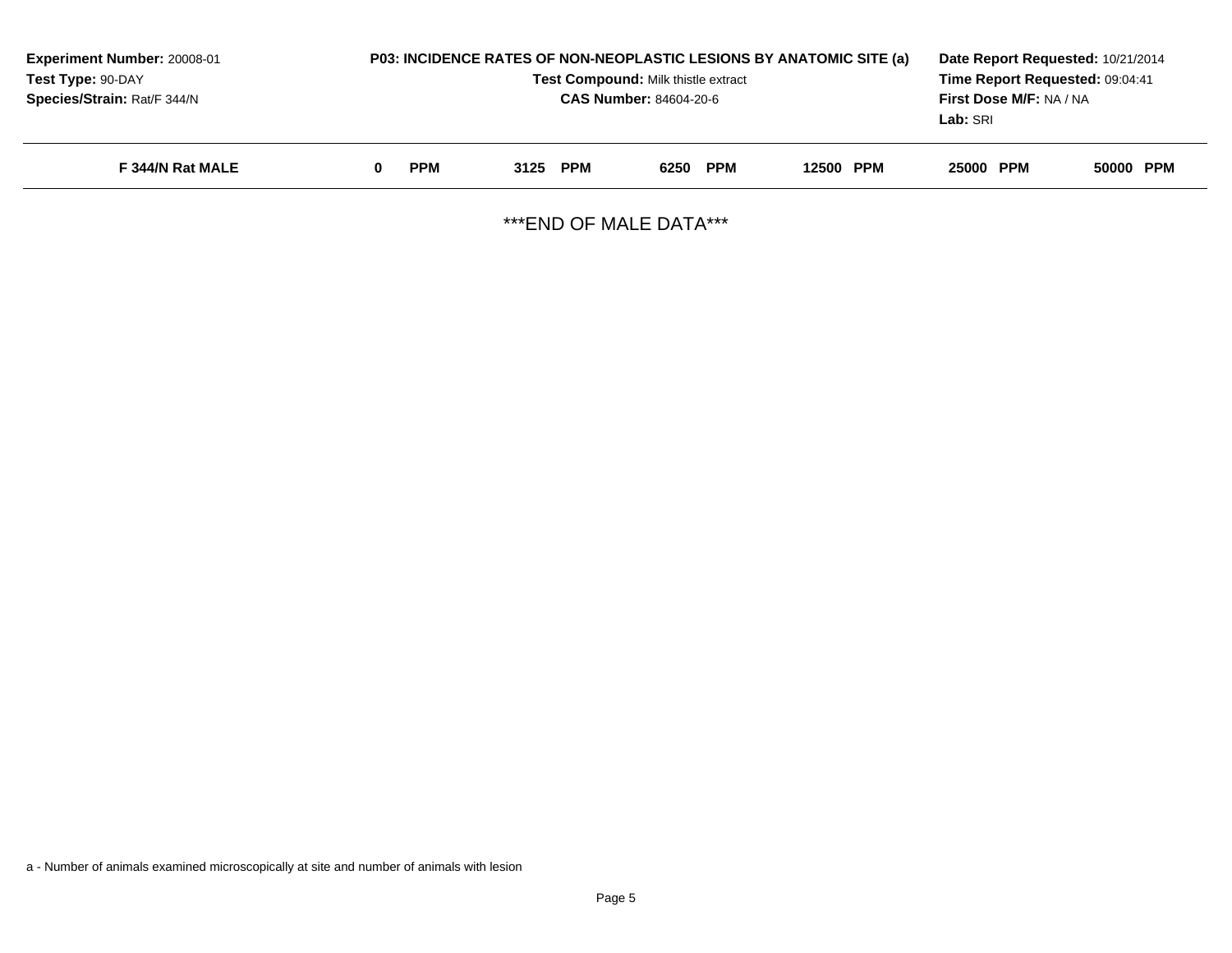| <b>Experiment Number: 20008-01</b><br>Test Type: 90-DAY<br>Species/Strain: Rat/F 344/N | P03: INCIDENCE RATES OF NON-NEOPLASTIC LESIONS BY ANATOMIC SITE (a) | Date Report Requested: 10/21/2014<br>Time Report Requested: 09:04:41<br><b>First Dose M/F: NA / NA</b><br>Lab: SRI |          |           |           |           |
|----------------------------------------------------------------------------------------|---------------------------------------------------------------------|--------------------------------------------------------------------------------------------------------------------|----------|-----------|-----------|-----------|
| F 344/N Rat MALE                                                                       | <b>PPM</b>                                                          | 3125 PPM                                                                                                           | 6250 PPM | 12500 PPM | 25000 PPM | 50000 PPM |

\*\*\*END OF MALE DATA\*\*\*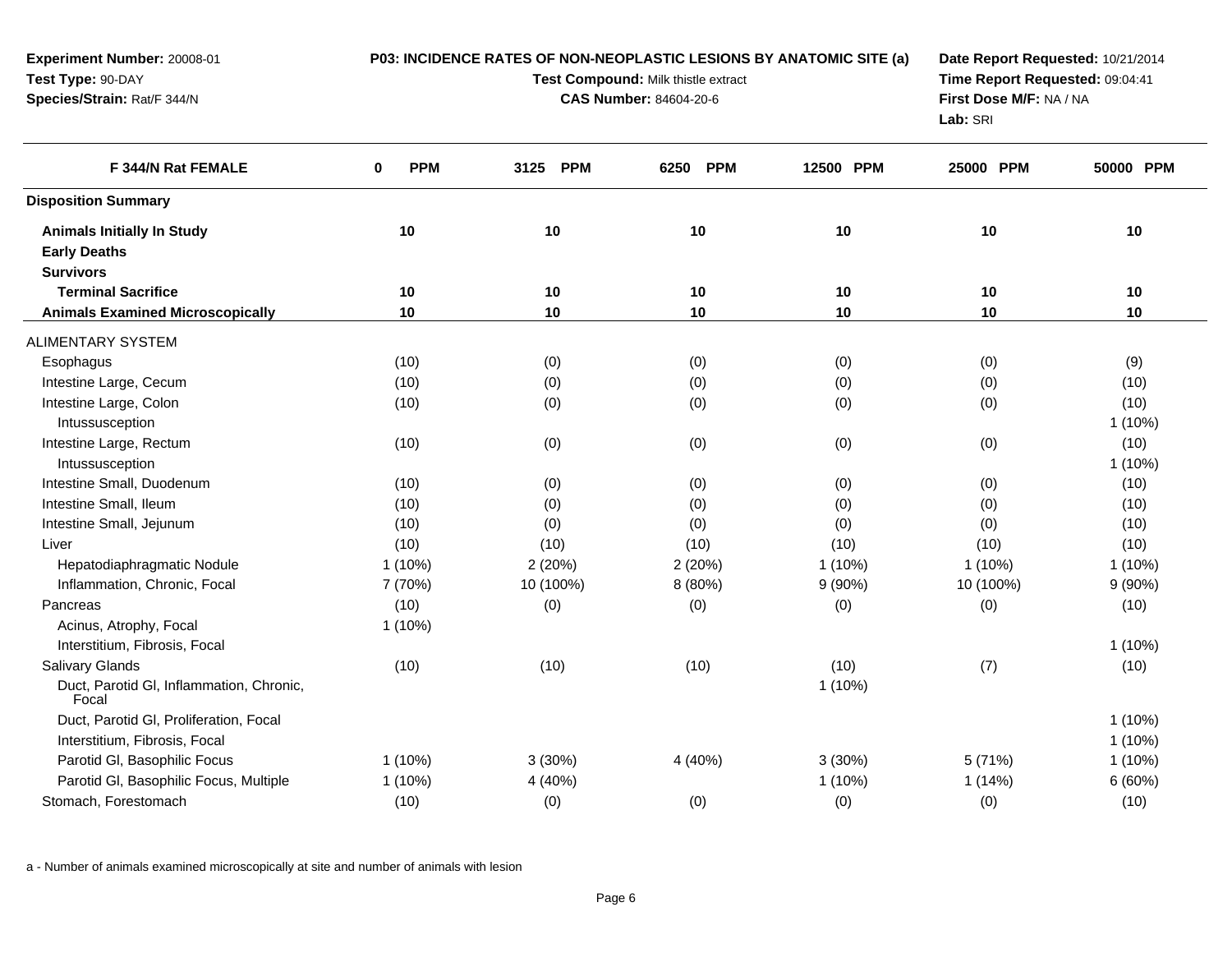| Experiment Number: 20008-01<br>Test Type: 90-DAY<br>Species/Strain: Rat/F 344/N |                 | P03: INCIDENCE RATES OF NON-NEOPLASTIC LESIONS BY ANATOMIC SITE (a)<br>Test Compound: Milk thistle extract<br><b>CAS Number: 84604-20-6</b> | Date Report Requested: 10/21/2014<br>Time Report Requested: 09:04:41<br>First Dose M/F: NA / NA<br>Lab: SRI |           |           |           |
|---------------------------------------------------------------------------------|-----------------|---------------------------------------------------------------------------------------------------------------------------------------------|-------------------------------------------------------------------------------------------------------------|-----------|-----------|-----------|
| F 344/N Rat FEMALE                                                              | <b>PPM</b><br>0 | 3125 PPM                                                                                                                                    | 6250 PPM                                                                                                    | 12500 PPM | 25000 PPM | 50000 PPM |
| <b>Disposition Summary</b>                                                      |                 |                                                                                                                                             |                                                                                                             |           |           |           |
| <b>Animals Initially In Study</b>                                               | 10              | 10                                                                                                                                          | 10                                                                                                          | 10        | 10        | 10        |
| <b>Early Deaths</b>                                                             |                 |                                                                                                                                             |                                                                                                             |           |           |           |
| <b>Survivors</b>                                                                |                 |                                                                                                                                             |                                                                                                             |           |           |           |
| <b>Terminal Sacrifice</b>                                                       | 10              | 10                                                                                                                                          | 10                                                                                                          | 10        | 10        | 10        |
| <b>Animals Examined Microscopically</b>                                         | 10              | 10                                                                                                                                          | 10                                                                                                          | 10        | 10        | 10        |
| <b>ALIMENTARY SYSTEM</b>                                                        |                 |                                                                                                                                             |                                                                                                             |           |           |           |
| Esophagus                                                                       | (10)            | (0)                                                                                                                                         | (0)                                                                                                         | (0)       | (0)       | (9)       |
| Intestine Large, Cecum                                                          | (10)            | (0)                                                                                                                                         | (0)                                                                                                         | (0)       | (0)       | (10)      |
| Intestine Large, Colon                                                          | (10)            | (0)                                                                                                                                         | (0)                                                                                                         | (0)       | (0)       | (10)      |
| Intussusception                                                                 |                 |                                                                                                                                             |                                                                                                             |           |           | $1(10\%)$ |
| Intestine Large, Rectum                                                         | (10)            | (0)                                                                                                                                         | (0)                                                                                                         | (0)       | (0)       | (10)      |
| Intussusception                                                                 |                 |                                                                                                                                             |                                                                                                             |           |           | $1(10\%)$ |
| Intestine Small, Duodenum                                                       | (10)            | (0)                                                                                                                                         | (0)                                                                                                         | (0)       | (0)       | (10)      |
| Intestine Small, Ileum                                                          | (10)            | (0)                                                                                                                                         | (0)                                                                                                         | (0)       | (0)       | (10)      |
| Intestine Small, Jejunum                                                        | (10)            | (0)                                                                                                                                         | (0)                                                                                                         | (0)       | (0)       | (10)      |
| Liver                                                                           | (10)            | (10)                                                                                                                                        | (10)                                                                                                        | (10)      | (10)      | (10)      |
| Hepatodiaphragmatic Nodule                                                      | $1(10\%)$       | 2(20%)                                                                                                                                      | 2(20%)                                                                                                      | $1(10\%)$ | $1(10\%)$ | $1(10\%)$ |
| Inflammation, Chronic, Focal                                                    | 7 (70%)         | 10 (100%)                                                                                                                                   | 8 (80%)                                                                                                     | $9(90\%)$ | 10 (100%) | 9(90%)    |
| Pancreas                                                                        | (10)            | (0)                                                                                                                                         | (0)                                                                                                         | (0)       | (0)       | (10)      |
| Acinus, Atrophy, Focal                                                          | 1 (10%)         |                                                                                                                                             |                                                                                                             |           |           |           |
| Interstitium, Fibrosis, Focal                                                   |                 |                                                                                                                                             |                                                                                                             |           |           | $1(10\%)$ |
| <b>Salivary Glands</b>                                                          | (10)            | (10)                                                                                                                                        | (10)                                                                                                        | (10)      | (7)       | (10)      |
| Duct, Parotid Gl, Inflammation, Chronic,<br>Focal                               |                 |                                                                                                                                             |                                                                                                             | $1(10\%)$ |           |           |
| Duct, Parotid GI, Proliferation, Focal                                          |                 |                                                                                                                                             |                                                                                                             |           |           | $1(10\%)$ |
| Interstitium, Fibrosis, Focal                                                   |                 |                                                                                                                                             |                                                                                                             |           |           | $1(10\%)$ |
| Parotid GI, Basophilic Focus                                                    | $1(10\%)$       | 3(30%)                                                                                                                                      | 4 (40%)                                                                                                     | 3(30%)    | 5 (71%)   | $1(10\%)$ |
| Parotid GI, Basophilic Focus, Multiple                                          | $1(10\%)$       | 4 (40%)                                                                                                                                     |                                                                                                             | $1(10\%)$ | 1(14%)    | 6(60%)    |
| Stomach, Forestomach                                                            | (10)            | (0)                                                                                                                                         | (0)                                                                                                         | (0)       | (0)       | (10)      |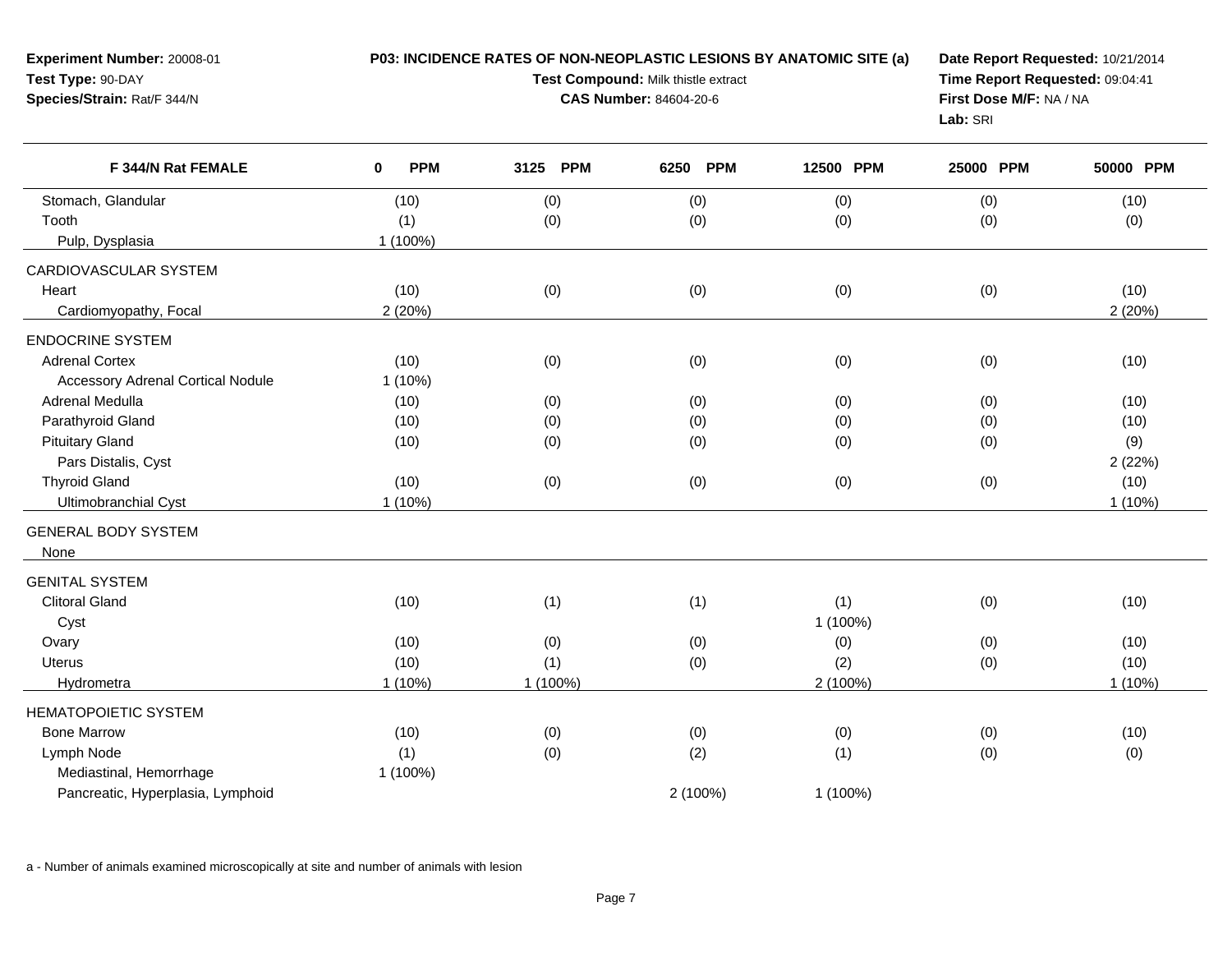| Experiment Number: 20008-01<br>Test Type: 90-DAY<br>Species/Strain: Rat/F 344/N |                           | P03: INCIDENCE RATES OF NON-NEOPLASTIC LESIONS BY ANATOMIC SITE (a)<br>Test Compound: Milk thistle extract<br><b>CAS Number: 84604-20-6</b> | Date Report Requested: 10/21/2014<br>Time Report Requested: 09:04:41<br>First Dose M/F: NA / NA<br>Lab: SRI |           |           |           |
|---------------------------------------------------------------------------------|---------------------------|---------------------------------------------------------------------------------------------------------------------------------------------|-------------------------------------------------------------------------------------------------------------|-----------|-----------|-----------|
| F 344/N Rat FEMALE                                                              | <b>PPM</b><br>$\mathbf 0$ | 3125 PPM                                                                                                                                    | 6250 PPM                                                                                                    | 12500 PPM | 25000 PPM | 50000 PPM |
| Stomach, Glandular                                                              | (10)                      | (0)                                                                                                                                         | (0)                                                                                                         | (0)       | (0)       | (10)      |
| Tooth                                                                           | (1)                       | (0)                                                                                                                                         | (0)                                                                                                         | (0)       | (0)       | (0)       |
| Pulp, Dysplasia                                                                 | 1 (100%)                  |                                                                                                                                             |                                                                                                             |           |           |           |
| CARDIOVASCULAR SYSTEM                                                           |                           |                                                                                                                                             |                                                                                                             |           |           |           |
| Heart                                                                           | (10)                      | (0)                                                                                                                                         | (0)                                                                                                         | (0)       | (0)       | (10)      |
| Cardiomyopathy, Focal                                                           | 2(20%)                    |                                                                                                                                             |                                                                                                             |           |           | 2(20%)    |
| <b>ENDOCRINE SYSTEM</b>                                                         |                           |                                                                                                                                             |                                                                                                             |           |           |           |
| <b>Adrenal Cortex</b>                                                           | (10)                      | (0)                                                                                                                                         | (0)                                                                                                         | (0)       | (0)       | (10)      |
| <b>Accessory Adrenal Cortical Nodule</b>                                        | $1(10\%)$                 |                                                                                                                                             |                                                                                                             |           |           |           |
| Adrenal Medulla                                                                 | (10)                      | (0)                                                                                                                                         | (0)                                                                                                         | (0)       | (0)       | (10)      |
| Parathyroid Gland                                                               | (10)                      | (0)                                                                                                                                         | (0)                                                                                                         | (0)       | (0)       | (10)      |
| <b>Pituitary Gland</b>                                                          | (10)                      | (0)                                                                                                                                         | (0)                                                                                                         | (0)       | (0)       | (9)       |
| Pars Distalis, Cyst                                                             |                           |                                                                                                                                             |                                                                                                             |           |           | 2(22%)    |
| <b>Thyroid Gland</b>                                                            | (10)                      | (0)                                                                                                                                         | (0)                                                                                                         | (0)       | (0)       | (10)      |
| Ultimobranchial Cyst                                                            | 1 (10%)                   |                                                                                                                                             |                                                                                                             |           |           | $1(10\%)$ |
| <b>GENERAL BODY SYSTEM</b>                                                      |                           |                                                                                                                                             |                                                                                                             |           |           |           |
| None                                                                            |                           |                                                                                                                                             |                                                                                                             |           |           |           |
| <b>GENITAL SYSTEM</b>                                                           |                           |                                                                                                                                             |                                                                                                             |           |           |           |
| <b>Clitoral Gland</b>                                                           | (10)                      | (1)                                                                                                                                         | (1)                                                                                                         | (1)       | (0)       | (10)      |
| Cyst                                                                            |                           |                                                                                                                                             |                                                                                                             | 1 (100%)  |           |           |
| Ovary                                                                           | (10)                      | (0)                                                                                                                                         | (0)                                                                                                         | (0)       | (0)       | (10)      |
| <b>Uterus</b>                                                                   | (10)                      | (1)                                                                                                                                         | (0)                                                                                                         | (2)       | (0)       | (10)      |
| Hydrometra                                                                      | $1(10\%)$                 | 1 (100%)                                                                                                                                    |                                                                                                             | 2 (100%)  |           | $1(10\%)$ |
| <b>HEMATOPOIETIC SYSTEM</b>                                                     |                           |                                                                                                                                             |                                                                                                             |           |           |           |
| <b>Bone Marrow</b>                                                              | (10)                      | (0)                                                                                                                                         | (0)                                                                                                         | (0)       | (0)       | (10)      |
| Lymph Node                                                                      | (1)                       | (0)                                                                                                                                         | (2)                                                                                                         | (1)       | (0)       | (0)       |
| Mediastinal, Hemorrhage                                                         | 1 (100%)                  |                                                                                                                                             |                                                                                                             |           |           |           |
| Pancreatic, Hyperplasia, Lymphoid                                               |                           |                                                                                                                                             | 2 (100%)                                                                                                    | 1 (100%)  |           |           |